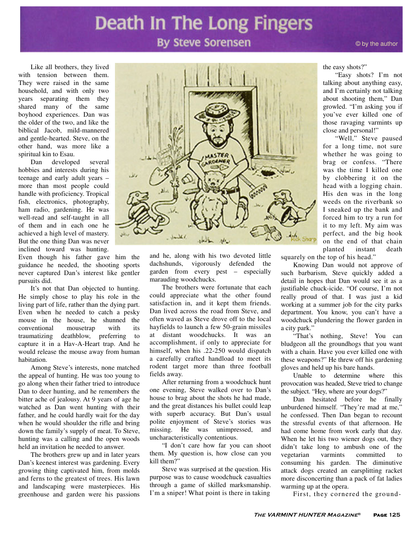# Death In The Long Fingers

### **By Steve Sorensen**

Like all brothers, they lived with tension between them. They were raised in the same household, and with only two years separating them they shared many of the same boyhood experiences. Dan was the older of the two, and like the biblical Jacob, mild-mannered and gentle-hearted. Steve, on the other hand, was more like a spiritual kin to Esau.

Dan developed several hobbies and interests during his teenage and early adult years – more than most people could handle with proficiency. Tropical fish, electronics, photography, ham radio, gardening. He was well-read and self-taught in all of them and in each one he achieved a high level of mastery. But the one thing Dan was never inclined toward was hunting.

Even though his father gave him the guidance he needed, the shooting sports never captured Dan's interest like gentler pursuits did.

It's not that Dan objected to hunting. He simply chose to play his role in the living part of life, rather than the dying part. Even when he needed to catch a pesky mouse in the house, he shunned the conventional mousetrap with its traumatizing deathblow, preferring to capture it in a Hav-A-Heart trap. And he would release the mouse away from human habitation.

Among Steve's interests, none matched the appeal of hunting. He was too young to go along when their father tried to introduce Dan to deer hunting, and he remembers the bitter ache of jealousy. At 9 years of age he watched as Dan went hunting with their father, and he could hardly wait for the day when he would shoulder the rifle and bring down the family's supply of meat. To Steve, hunting was a calling and the open woods held an invitation he needed to answer.

The brothers grew up and in later years Dan's keenest interest was gardening. Every growing thing captivated him, from molds and ferns to the greatest of trees. His lawn and landscaping were masterpieces. His greenhouse and garden were his passions



and he, along with his two devoted little dachshunds, vigorously defended the garden from every pest – especially marauding woodchucks.

The brothers were fortunate that each could appreciate what the other found satisfaction in, and it kept them friends. Dan lived across the road from Steve, and often waved as Steve drove off to the local hayfields to launch a few 50-grain missiles at distant woodchucks. It was an accomplishment, if only to appreciate for himself, when his .22-250 would dispatch a carefully crafted handload to meet its rodent target more than three football fields away.

After returning from a woodchuck hunt one evening, Steve walked over to Dan's house to brag about the shots he had made, and the great distances his bullet could leap with superb accuracy. But Dan's usual polite enjoyment of Steve's stories was missing. He was unimpressed, and uncharacteristically contentious.

"I don't care how far you can shoot them. My question is, how close can you kill them?"

Steve was surprised at the question. His purpose was to cause woodchuck casualties through a game of skilled marksmanship. I'm a sniper! What point is there in taking

the easy shots?"

"Easy shots? I'm not talking about anything easy, and I'm certainly not talking about shooting them," Dan growled. "I'm asking you if you've ever killed one of those ravaging varmints up close and personal!"

"Well," Steve paused for a long time, not sure whether he was going to brag or confess. "There was the time I killed one by clobbering it on the head with a logging chain. His den was in the long weeds on the riverbank so I sneaked up the bank and forced him to try a run for it to my left. My aim was perfect, and the big hook on the end of that chain planted instant death

squarely on the top of his head."

Knowing Dan would not approve of such barbarism, Steve quickly added a detail in hopes that Dan would see it as a justifiable chuck-icide. "Of course, I'm not really proud of that. I was just a kid working at a summer job for the city parks department. You know, you can't have a woodchuck plundering the flower garden in a city park."

"That's nothing, Steve! You can bludgeon all the groundhogs that you want with a chain. Have you ever killed one with these weapons?" He threw off his gardening gloves and held up his bare hands.

Unable to determine where this provocation was headed, Steve tried to change the subject. "Hey, where are your dogs?"

Dan hesitated before he finally unburdened himself. "They're mad at me," he confessed. Then Dan began to recount the stressful events of that afternoon. He had come home from work early that day. When he let his two wiener dogs out, they didn't take long to ambush one of the vegetarian varmints committed to consuming his garden. The diminutive attack dogs created an earsplitting racket more disconcerting than a pack of fat ladies warming up at the opera.

First, they cornered the ground-